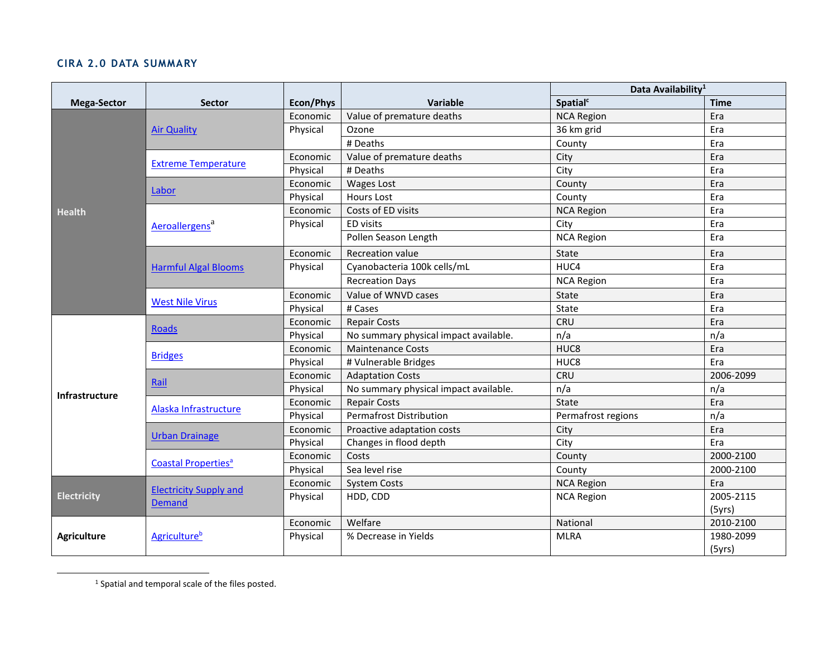## **CIRA 2.0 DATA SUMMARY**

|                       |                                         |           |                                       | Data Availability <sup>1</sup> |             |
|-----------------------|-----------------------------------------|-----------|---------------------------------------|--------------------------------|-------------|
| <b>Mega-Sector</b>    | <b>Sector</b>                           | Econ/Phys | <b>Variable</b>                       | Spatial <sup>c</sup>           | <b>Time</b> |
| <b>Health</b>         | <b>Air Quality</b>                      | Economic  | Value of premature deaths             | <b>NCA Region</b>              | Era         |
|                       |                                         | Physical  | Ozone                                 | 36 km grid                     | Era         |
|                       |                                         |           | # Deaths                              | County                         | Era         |
|                       | <b>Extreme Temperature</b>              | Economic  | Value of premature deaths             | City                           | Era         |
|                       |                                         | Physical  | # Deaths                              | City                           | Era         |
|                       | Labor                                   | Economic  | <b>Wages Lost</b>                     | County                         | Era         |
|                       |                                         | Physical  | <b>Hours Lost</b>                     | County                         | Era         |
|                       | Aeroallergens <sup>a</sup>              | Economic  | Costs of ED visits                    | <b>NCA Region</b>              | Era         |
|                       |                                         | Physical  | ED visits                             | City                           | Era         |
|                       |                                         |           | Pollen Season Length                  | <b>NCA Region</b>              | Era         |
|                       | <b>Harmful Algal Blooms</b>             | Economic  | Recreation value                      | State                          | Era         |
|                       |                                         | Physical  | Cyanobacteria 100k cells/mL           | HUC4                           | Era         |
|                       |                                         |           | <b>Recreation Days</b>                | <b>NCA Region</b>              | Era         |
|                       | <b>West Nile Virus</b>                  | Economic  | Value of WNVD cases                   | State                          | Era         |
|                       |                                         | Physical  | # Cases                               | State                          | Era         |
| <b>Infrastructure</b> | <b>Roads</b>                            | Economic  | <b>Repair Costs</b>                   | CRU                            | Era         |
|                       |                                         | Physical  | No summary physical impact available. | n/a                            | n/a         |
|                       | <b>Bridges</b>                          | Economic  | <b>Maintenance Costs</b>              | HUC8                           | Era         |
|                       |                                         | Physical  | # Vulnerable Bridges                  | HUC8                           | Era         |
|                       | Rail                                    | Economic  | <b>Adaptation Costs</b>               | <b>CRU</b>                     | 2006-2099   |
|                       |                                         | Physical  | No summary physical impact available. | n/a                            | n/a         |
|                       | Alaska Infrastructure                   | Economic  | <b>Repair Costs</b>                   | State                          | Era         |
|                       |                                         | Physical  | <b>Permafrost Distribution</b>        | Permafrost regions             | n/a         |
|                       | <b>Urban Drainage</b>                   | Economic  | Proactive adaptation costs            | City                           | Era         |
|                       |                                         | Physical  | Changes in flood depth                | City                           | Era         |
|                       | <b>Coastal Properties<sup>a</sup></b>   | Economic  | Costs                                 | County                         | 2000-2100   |
|                       |                                         | Physical  | Sea level rise                        | County                         | 2000-2100   |
| <b>Electricity</b>    | <b>Electricity Supply and</b><br>Demand | Economic  | <b>System Costs</b>                   | <b>NCA Region</b>              | Era         |
|                       |                                         | Physical  | HDD, CDD                              | <b>NCA Region</b>              | 2005-2115   |
|                       |                                         |           |                                       |                                | (5yrs)      |
| <b>Agriculture</b>    | <b>Agriculture</b> <sup>b</sup>         | Economic  | Welfare                               | National                       | 2010-2100   |
|                       |                                         | Physical  | % Decrease in Yields                  | <b>MLRA</b>                    | 1980-2099   |
|                       |                                         |           |                                       |                                | (5yrs)      |

<sup>&</sup>lt;sup>1</sup> Spatial and temporal scale of the files posted.